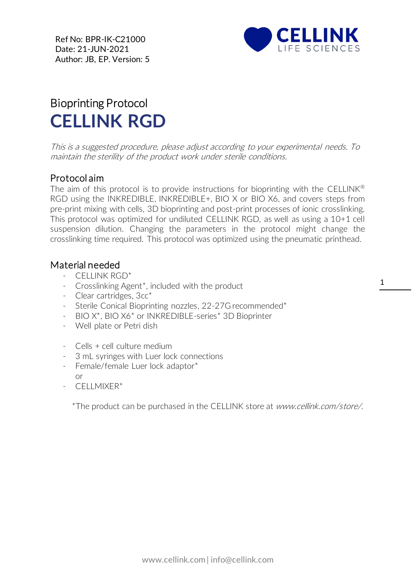

## Bioprinting Protocol **CELLINK RGD**

This is a suggested procedure, please adjust according to your experimental needs. To maintain the sterility of the product work under sterile conditions.

## Protocol aim

The aim of this protocol is to provide instructions for bioprinting with the CELLINK<sup>®</sup> RGD using the INKREDIBLE, INKREDIBLE+, BIO X or BIO X6, and covers steps from pre-print mixing with cells, 3D bioprinting and post-print processes of ionic crosslinking. This protocol was optimized for undiluted CELLINK RGD, as well as using a 10+1 cell suspension dilution. Changing the parameters in the protocol might change the crosslinking time required. This protocol was optimized using the pneumatic printhead.

## Material needed

- CELLINK RGD\*
- Crosslinking Agent\*, included with the product
- Clear cartridges, 3cc\*
- Sterile Conical Bioprinting nozzles, 22-27G recommended\*
- BIO X\*, BIO X6\* or INKREDIBLE-series\* 3D Bioprinter
- Well plate or Petri dish
- Cells + cell culture medium
- 3 mL syringes with Luer lock connections
- Female/female Luer lock adaptor\* or
- CELLMIXER\*

\*The product can be purchased in the CELLINK store at www.cellink.com/store/.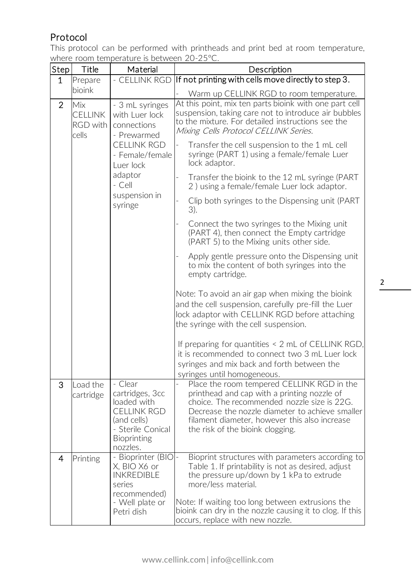## Protocol

This protocol can be performed with printheads and print bed at room temperature, where room temperature is between 20-25°C.

| Step           | Title                                             | Material                                                                                                                                                                 | Description                                                                                                                                                                                                                                                                                                                   |
|----------------|---------------------------------------------------|--------------------------------------------------------------------------------------------------------------------------------------------------------------------------|-------------------------------------------------------------------------------------------------------------------------------------------------------------------------------------------------------------------------------------------------------------------------------------------------------------------------------|
| $\mathbf{1}$   | Prepare                                           | - CELLINK RGD                                                                                                                                                            | If not printing with cells move directly to step 3.                                                                                                                                                                                                                                                                           |
|                | bioink                                            |                                                                                                                                                                          | Warm up CELLINK RGD to room temperature.                                                                                                                                                                                                                                                                                      |
| $\overline{2}$ | Mix<br><b>CELLINK</b><br><b>RGD</b> with<br>cells | - 3 mL syringes<br>with Luer lock<br>connections<br>- Prewarmed<br><b>CELLINK RGD</b><br>- Female/female<br>Luer lock<br>adaptor<br>$-$ Cell<br>suspension in<br>syringe | At this point, mix ten parts bioink with one part cell<br>suspension, taking care not to introduce air bubbles<br>to the mixture. For detailed instructions see the<br>Mixing Cells Protocol CELLINK Series.                                                                                                                  |
|                |                                                   |                                                                                                                                                                          | Transfer the cell suspension to the 1 mL cell<br>syringe (PART 1) using a female/female Luer<br>lock adaptor.                                                                                                                                                                                                                 |
|                |                                                   |                                                                                                                                                                          | Transfer the bioink to the 12 mL syringe (PART<br>2) using a female/female Luer lock adaptor.                                                                                                                                                                                                                                 |
|                |                                                   |                                                                                                                                                                          | Clip both syringes to the Dispensing unit (PART<br>3).                                                                                                                                                                                                                                                                        |
|                |                                                   |                                                                                                                                                                          | Connect the two syringes to the Mixing unit<br>(PART 4), then connect the Empty cartridge<br>(PART 5) to the Mixing units other side.                                                                                                                                                                                         |
|                |                                                   |                                                                                                                                                                          | Apply gentle pressure onto the Dispensing unit<br>to mix the content of both syringes into the<br>empty cartridge.                                                                                                                                                                                                            |
|                |                                                   |                                                                                                                                                                          | Note: To avoid an air gap when mixing the bioink<br>and the cell suspension, carefully pre-fill the Luer<br>lock adaptor with CELLINK RGD before attaching<br>the syringe with the cell suspension.                                                                                                                           |
|                |                                                   |                                                                                                                                                                          | If preparing for quantities < 2 mL of CELLINK RGD,<br>it is recommended to connect two 3 mL Luer lock<br>syringes and mix back and forth between the<br>syringes until homogeneous.                                                                                                                                           |
| 3              | Load the<br>cartridge                             | - Clear<br>cartridges, 3cc<br>loaded with<br><b>CELLINK RGD</b><br>(and cells)<br>- Sterile Conical<br><b>Bioprinting</b><br>nozzles.                                    | Place the room tempered CELLINK RGD in the<br>printhead and cap with a printing nozzle of<br>choice. The recommended nozzle size is 22G.<br>Decrease the nozzle diameter to achieve smaller<br>filament diameter, however this also increase<br>the risk of the bioink clogging.                                              |
| 4              | Printing                                          | - Bioprinter (BIO)-<br>X, BIO X6 or<br><b>INKREDIBLE</b><br>series<br>recommended)<br>- Well plate or<br>Petri dish                                                      | Bioprint structures with parameters according to<br>Table 1. If printability is not as desired, adjust<br>the pressure up/down by 1 kPa to extrude<br>more/less material.<br>Note: If waiting too long between extrusions the<br>bioink can dry in the nozzle causing it to clog. If this<br>occurs, replace with new nozzle. |